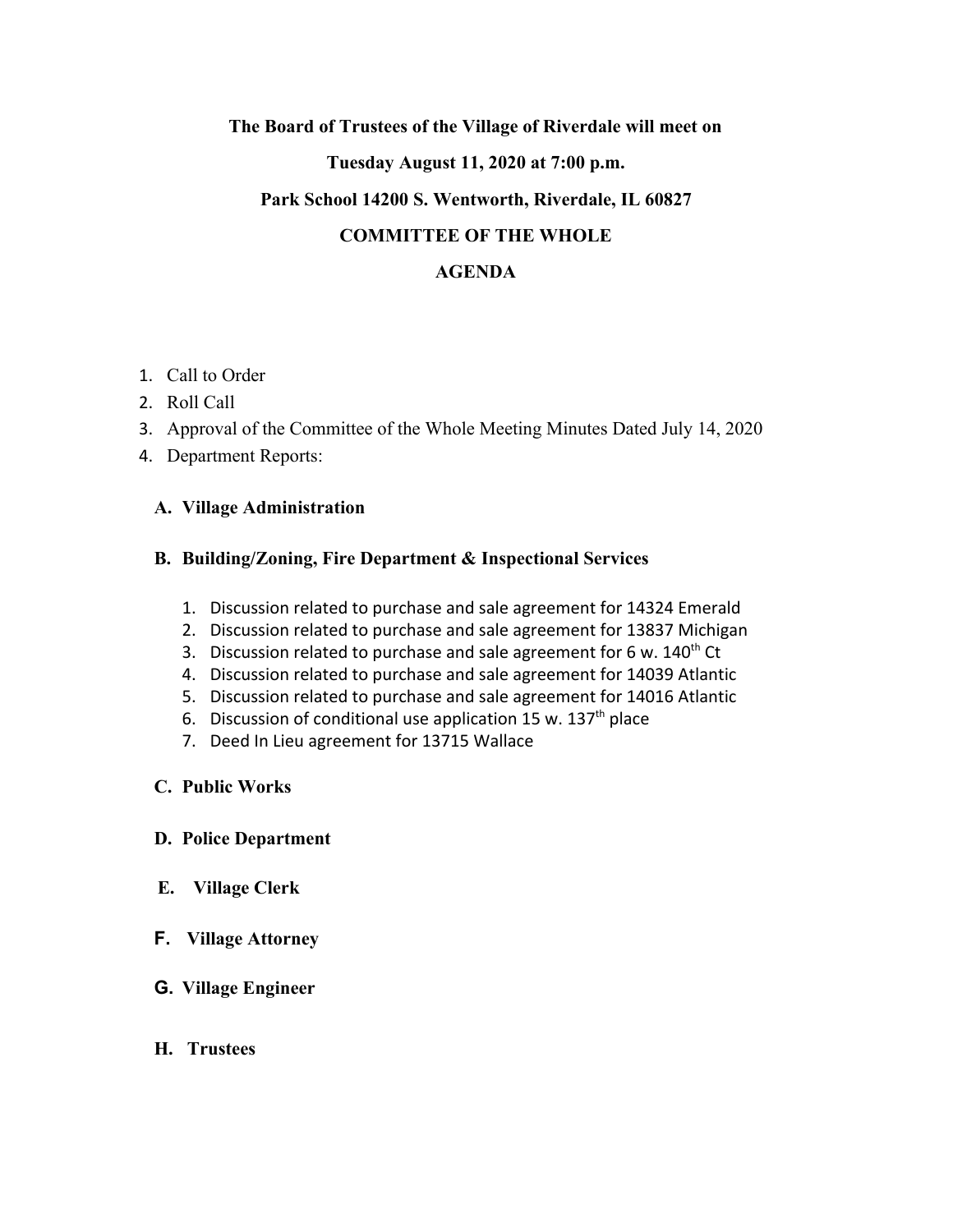# **The Board of Trustees of the Village of Riverdale will meet on**

# **Tuesday August 11, 2020 at 7:00 p.m.**

#### **Park School 14200 S. Wentworth, Riverdale, IL 60827**

# **COMMITTEE OF THE WHOLE**

# **AGENDA**

- 1. Call to Order
- 2. Roll Call
- 3. Approval of the Committee of the Whole Meeting Minutes Dated July 14, 2020
- 4. Department Reports:

# **A. Village Administration**

#### **B. Building/Zoning, Fire Department & Inspectional Services**

- 1. Discussion related to purchase and sale agreement for 14324 Emerald
- 2. Discussion related to purchase and sale agreement for 13837 Michigan
- 3. Discussion related to purchase and sale agreement for 6 w. 140<sup>th</sup> Ct
- 4. Discussion related to purchase and sale agreement for 14039 Atlantic
- 5. Discussion related to purchase and sale agreement for 14016 Atlantic
- 6. Discussion of conditional use application 15 w. 137<sup>th</sup> place
- 7. Deed In Lieu agreement for 13715 Wallace

# **C. Public Works**

#### **D. Police Department**

- **E. Village Clerk**
- **F. Village Attorney**
- **G. Village Engineer**
- **H. Trustees**